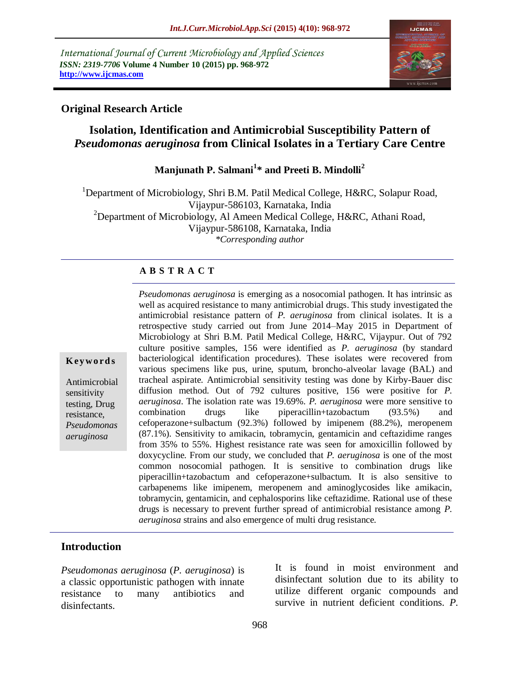*International Journal of Current Microbiology and Applied Sciences ISSN: 2319-7706* **Volume 4 Number 10 (2015) pp. 968-972 http://www.ijcmas.com** 



## **Original Research Article**

# **Isolation, Identification and Antimicrobial Susceptibility Pattern of**  *Pseudomonas aeruginosa* **from Clinical Isolates in a Tertiary Care Centre**

# **Manjunath P. Salmani<sup>1</sup> \* and Preeti B. Mindolli<sup>2</sup>**

<sup>1</sup>Department of Microbiology, Shri B.M. Patil Medical College, H&RC, Solapur Road, Vijaypur-586103, Karnataka, India <sup>2</sup>Department of Microbiology, Al Ameen Medical College, H&RC, Athani Road, Vijaypur-586108, Karnataka, India *\*Corresponding author*

#### **A B S T R A C T**

#### **K ey w o rd s**

Antimicrobial sensitivity testing, Drug resistance, *Pseudomonas aeruginosa*

*Pseudomonas aeruginosa* is emerging as a nosocomial pathogen. It has intrinsic as well as acquired resistance to many antimicrobial drugs. This study investigated the antimicrobial resistance pattern of *P. aeruginosa* from clinical isolates. It is a retrospective study carried out from June 2014–May 2015 in Department of Microbiology at Shri B.M. Patil Medical College, H&RC, Vijaypur. Out of 792 culture positive samples, 156 were identified as *P. aeruginosa* (by standard bacteriological identification procedures). These isolates were recovered from various specimens like pus, urine, sputum, broncho-alveolar lavage (BAL) and tracheal aspirate. Antimicrobial sensitivity testing was done by Kirby-Bauer disc diffusion method. Out of 792 cultures positive, 156 were positive for *P. aeruginosa*. The isolation rate was 19.69%. *P. aeruginosa* were more sensitive to combination drugs like piperacillin+tazobactum (93.5%) and cefoperazone+sulbactum (92.3%) followed by imipenem (88.2%), meropenem (87.1%). Sensitivity to amikacin, tobramycin, gentamicin and ceftazidime ranges from 35% to 55%. Highest resistance rate was seen for amoxicillin followed by doxycycline. From our study, we concluded that *P. aeruginosa* is one of the most common nosocomial pathogen. It is sensitive to combination drugs like piperacillin+tazobactum and cefoperazone+sulbactum. It is also sensitive to carbapenems like imipenem, meropenem and aminoglycosides like amikacin, tobramycin, gentamicin, and cephalosporins like ceftazidime. Rational use of these drugs is necessary to prevent further spread of antimicrobial resistance among *P. aeruginosa* strains and also emergence of multi drug resistance.

## **Introduction**

*Pseudomonas aeruginosa* (*P. aeruginosa*) is a classic opportunistic pathogen with innate resistance to many antibiotics and disinfectants.

It is found in moist environment and disinfectant solution due to its ability to utilize different organic compounds and survive in nutrient deficient conditions. *P.*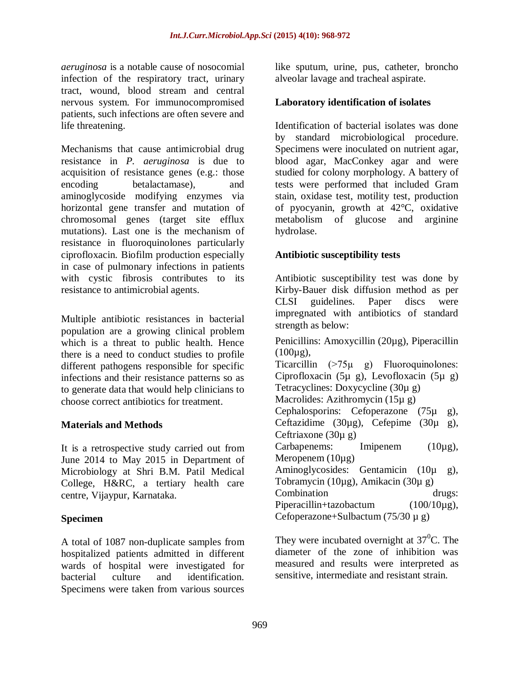*aeruginosa* is a notable cause of nosocomial infection of the respiratory tract, urinary tract, wound, blood stream and central nervous system. For immunocompromised patients, such infections are often severe and life threatening.

Mechanisms that cause antimicrobial drug resistance in *P. aeruginosa* is due to acquisition of resistance genes (e.g.: those encoding betalactamase), and aminoglycoside modifying enzymes via horizontal gene transfer and mutation of chromosomal genes (target site efflux mutations). Last one is the mechanism of resistance in fluoroquinolones particularly ciprofloxacin. Biofilm production especially in case of pulmonary infections in patients with cystic fibrosis contributes to its resistance to antimicrobial agents.

Multiple antibiotic resistances in bacterial population are a growing clinical problem which is a threat to public health. Hence there is a need to conduct studies to profile different pathogens responsible for specific infections and their resistance patterns so as to generate data that would help clinicians to choose correct antibiotics for treatment.

## **Materials and Methods**

It is a retrospective study carried out from June 2014 to May 2015 in Department of Microbiology at Shri B.M. Patil Medical College, H&RC, a tertiary health care centre, Vijaypur, Karnataka.

## **Specimen**

A total of 1087 non-duplicate samples from hospitalized patients admitted in different wards of hospital were investigated for bacterial culture and identification. Specimens were taken from various sources

like sputum, urine, pus, catheter, broncho alveolar lavage and tracheal aspirate.

# **Laboratory identification of isolates**

Identification of bacterial isolates was done by standard microbiological procedure. Specimens were inoculated on nutrient agar, blood agar, MacConkey agar and were studied for colony morphology. A battery of tests were performed that included Gram stain, oxidase test, motility test, production of pyocyanin, growth at 42°C, oxidative metabolism of glucose and arginine hydrolase.

## **Antibiotic susceptibility tests**

Antibiotic susceptibility test was done by Kirby-Bauer disk diffusion method as per CLSI guidelines. Paper discs were impregnated with antibiotics of standard strength as below:

Penicillins: Amoxycillin (20µg), Piperacillin  $(100\mu$ g), Ticarcillin  $(>75\mu$  g) Fluoroquinolones: Ciprofloxacin (5µ g), Levofloxacin (5µ g) Tetracyclines: Doxycycline (30µ g) Macrolides: Azithromycin (15µ g) Cephalosporins: Cefoperazone (75µ g), Ceftazidime (30 $\mu$ g), Cefepime (30 $\mu$  g), Ceftriaxone (30µ g) Carbapenems: Imipenem (10µg), Meropenem (10µg) Aminoglycosides: Gentamicin (10µ g), Tobramycin (10µg), Amikacin (30µ g) Combination drugs: Piperacillin+tazobactum (100/10µg), Cefoperazone+Sulbactum  $(75/30 \mu g)$ 

They were incubated overnight at  $37^{\circ}$ C. The diameter of the zone of inhibition was measured and results were interpreted as sensitive, intermediate and resistant strain.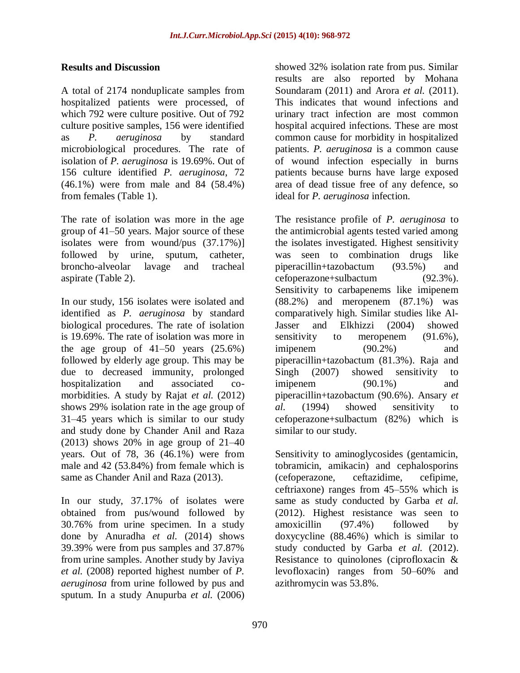#### **Results and Discussion**

A total of 2174 nonduplicate samples from hospitalized patients were processed, of which 792 were culture positive. Out of 792 culture positive samples, 156 were identified as *P. aeruginosa* by standard microbiological procedures. The rate of isolation of *P. aeruginosa* is 19.69%. Out of 156 culture identified *P. aeruginosa*, 72 (46.1%) were from male and 84 (58.4%) from females (Table 1).

The rate of isolation was more in the age group of 41–50 years. Major source of these isolates were from wound/pus (37.17%)] followed by urine, sputum, catheter, broncho-alveolar lavage and tracheal aspirate (Table 2).

In our study, 156 isolates were isolated and identified as *P. aeruginosa* by standard biological procedures. The rate of isolation is 19.69%. The rate of isolation was more in the age group of  $41-50$  years  $(25.6\%)$ followed by elderly age group. This may be due to decreased immunity, prolonged hospitalization and associated comorbidities. A study by Rajat *et al.* (2012) shows 29% isolation rate in the age group of 31–45 years which is similar to our study and study done by Chander Anil and Raza (2013) shows 20% in age group of 21–40 years. Out of 78, 36 (46.1%) were from male and 42 (53.84%) from female which is same as Chander Anil and Raza (2013).

In our study, 37.17% of isolates were obtained from pus/wound followed by 30.76% from urine specimen. In a study done by Anuradha *et al.* (2014) shows 39.39% were from pus samples and 37.87% from urine samples. Another study by Javiya *et al.* (2008) reported highest number of *P. aeruginosa* from urine followed by pus and sputum. In a study Anupurba *et al.* (2006)

showed 32% isolation rate from pus. Similar results are also reported by Mohana Soundaram (2011) and Arora *et al.* (2011). This indicates that wound infections and urinary tract infection are most common hospital acquired infections. These are most common cause for morbidity in hospitalized patients. *P. aeruginosa* is a common cause of wound infection especially in burns patients because burns have large exposed area of dead tissue free of any defence, so ideal for *P. aeruginosa* infection.

The resistance profile of *P. aeruginosa* to the antimicrobial agents tested varied among the isolates investigated. Highest sensitivity was seen to combination drugs like piperacillin+tazobactum (93.5%) and cefoperazone+sulbactum (92.3%). Sensitivity to carbapenems like imipenem (88.2%) and meropenem (87.1%) was comparatively high. Similar studies like Al-Jasser and Elkhizzi (2004) showed sensitivity to meropenem  $(91.6\%)$ , imipenem  $(90.2\%)$  and piperacillin+tazobactum (81.3%). Raja and Singh (2007) showed sensitivity to imipenem  $(90.1\%)$  and piperacillin+tazobactum (90.6%). Ansary *et al.* (1994) showed sensitivity to cefoperazone+sulbactum (82%) which is similar to our study.

Sensitivity to aminoglycosides (gentamicin, tobramicin, amikacin) and cephalosporins (cefoperazone, ceftazidime, cefipime, ceftriaxone) ranges from 45–55% which is same as study conducted by Garba *et al.*  (2012). Highest resistance was seen to amoxicillin (97.4%) followed by doxycycline (88.46%) which is similar to study conducted by Garba *et al.* (2012). Resistance to quinolones (ciprofloxacin & levofloxacin) ranges from 50–60% and azithromycin was 53.8%.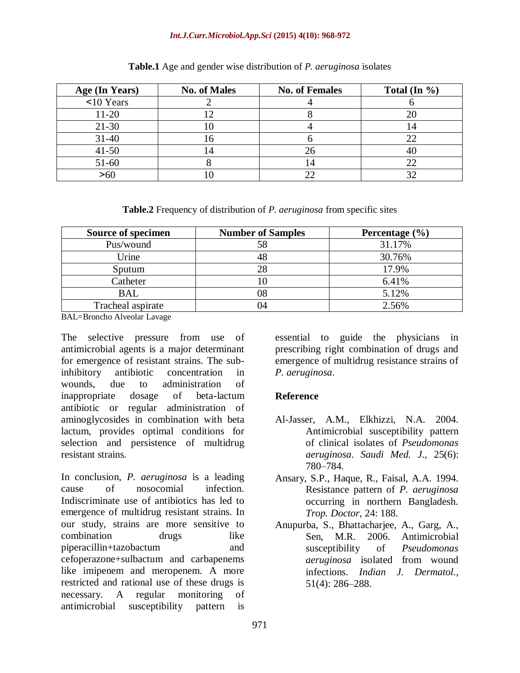#### *Int.J.Curr.Microbiol.App.Sci* **(2015) 4(10): 968-972**

| Age (In Years) | <b>No. of Males</b> | <b>No. of Females</b> | Total (In $\%$ ) |
|----------------|---------------------|-----------------------|------------------|
| $10$ Years     |                     |                       |                  |
| $11-20$        |                     |                       |                  |
| $21 - 30$      |                     |                       | 14               |
| $31 - 40$      |                     |                       |                  |
| $41 - 50$      | $\overline{ }$      | 26                    |                  |
| 51-60          |                     |                       |                  |
| >6(            |                     |                       |                  |

#### **Table.1** Age and gender wise distribution of *P. aeruginosa* isolates

**Table.2** Frequency of distribution of *P. aeruginosa* from specific sites

| <b>Source of specimen</b> | <b>Number of Samples</b> | Percentage $(\% )$ |
|---------------------------|--------------------------|--------------------|
| Pus/wound                 |                          | 31.17%             |
| Urine                     |                          | 30.76%             |
| Sputum                    |                          | 17.9%              |
| Catheter                  |                          | 6.41%              |
| <b>BAL</b>                |                          | 5.12%              |
| Tracheal aspirate         | 14                       | 2.56%              |

BAL=Broncho Alveolar Lavage

The selective pressure from use of antimicrobial agents is a major determinant for emergence of resistant strains. The subinhibitory antibiotic concentration in wounds, due to administration of inappropriate dosage of beta-lactum antibiotic or regular administration of aminoglycosides in combination with beta lactum, provides optimal conditions for selection and persistence of multidrug resistant strains.

In conclusion, *P. aeruginosa* is a leading cause of nosocomial infection. Indiscriminate use of antibiotics has led to emergence of multidrug resistant strains. In our study, strains are more sensitive to combination drugs like piperacillin+tazobactum and cefoperazone+sulbactum and carbapenems like imipenem and meropenem. A more restricted and rational use of these drugs is necessary. A regular monitoring of antimicrobial susceptibility pattern is

essential to guide the physicians in prescribing right combination of drugs and emergence of multidrug resistance strains of *P. aeruginosa*.

#### **Reference**

- Al-Jasser, A.M., Elkhizzi, N.A. 2004. Antimicrobial susceptibility pattern of clinical isolates of *Pseudomonas aeruginosa*. *Saudi Med. J.,* 25(6): 780–784.
- Ansary, S.P., Haque, R., Faisal, A.A. 1994. Resistance pattern of *P. aeruginosa* occurring in northern Bangladesh. *Trop. Doctor*, 24: 188.
- Anupurba, S., Bhattacharjee, A., Garg, A., Sen, M.R. 2006. Antimicrobial susceptibility of *Pseudomonas aeruginosa* isolated from wound infections. *Indian J. Dermatol.,* 51(4): 286–288.